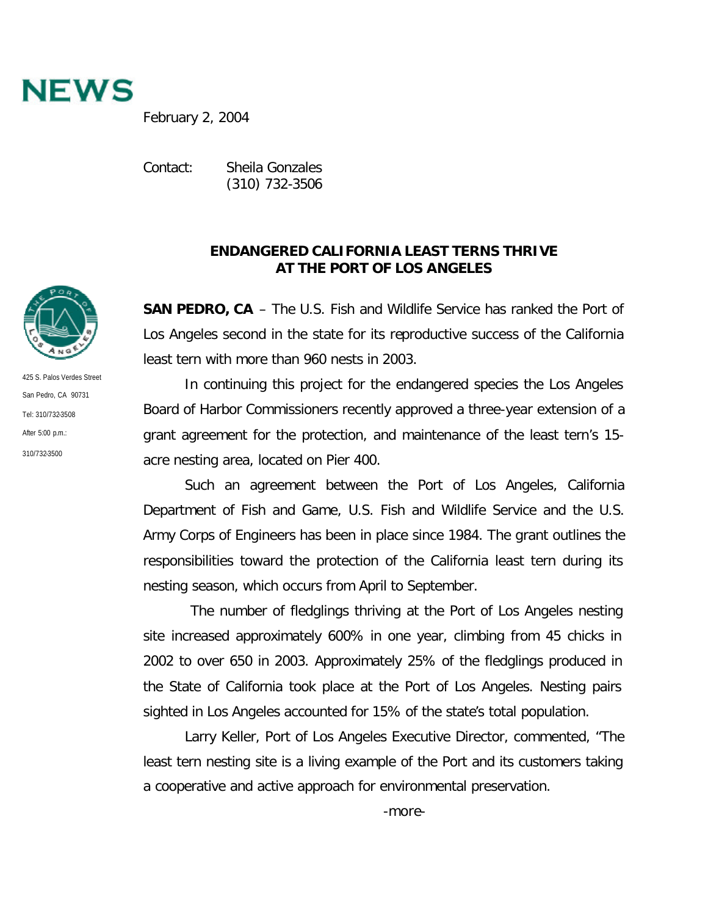

February 2, 2004

Contact: Sheila Gonzales (310) 732-3506

## **ENDANGERED CALIFORNIA LEAST TERNS THRIVE AT THE PORT OF LOS ANGELES**

**SAN PEDRO, CA** – The U.S. Fish and Wildlife Service has ranked the Port of Los Angeles second in the state for its reproductive success of the California least tern with more than 960 nests in 2003.

In continuing this project for the endangered species the Los Angeles Board of Harbor Commissioners recently approved a three-year extension of a grant agreement for the protection, and maintenance of the least tern's 15 acre nesting area, located on Pier 400.

Such an agreement between the Port of Los Angeles, California Department of Fish and Game, U.S. Fish and Wildlife Service and the U.S. Army Corps of Engineers has been in place since 1984. The grant outlines the responsibilities toward the protection of the California least tern during its nesting season, which occurs from April to September.

 The number of fledglings thriving at the Port of Los Angeles nesting site increased approximately 600% in one year, climbing from 45 chicks in 2002 to over 650 in 2003. Approximately 25% of the fledglings produced in the State of California took place at the Port of Los Angeles. Nesting pairs sighted in Los Angeles accounted for 15% of the state's total population.

Larry Keller, Port of Los Angeles Executive Director, commented, "The least tern nesting site is a living example of the Port and its customers taking a cooperative and active approach for environmental preservation.

425 S. Palos Verdes Street San Pedro, CA 90731 Tel: 310/732-3508 After 5:00 p.m.:

310/732-3500

-more-